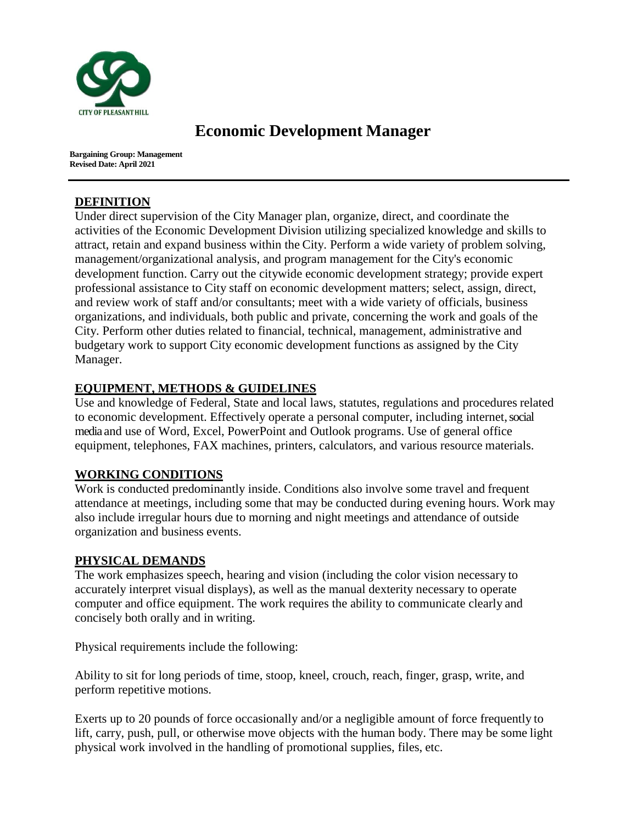

# **Economic Development Manager**

**Bargaining Group: Management Revised Date: April 2021**

## **DEFINITION**

Under direct supervision of the City Manager plan, organize, direct, and coordinate the activities of the Economic Development Division utilizing specialized knowledge and skills to attract, retain and expand business within the City. Perform a wide variety of problem solving, management/organizational analysis, and program management for the City's economic development function. Carry out the citywide economic development strategy; provide expert professional assistance to City staff on economic development matters; select, assign, direct, and review work of staff and/or consultants; meet with a wide variety of officials, business organizations, and individuals, both public and private, concerning the work and goals of the City. Perform other duties related to financial, technical, management, administrative and budgetary work to support City economic development functions as assigned by the City Manager.

# **EQUIPMENT, METHODS & GUIDELINES**

Use and knowledge of Federal, State and local laws, statutes, regulations and procedures related to economic development. Effectively operate a personal computer, including internet, social media and use of Word, Excel, PowerPoint and Outlook programs. Use of general office equipment, telephones, FAX machines, printers, calculators, and various resource materials.

## **WORKING CONDITIONS**

Work is conducted predominantly inside. Conditions also involve some travel and frequent attendance at meetings, including some that may be conducted during evening hours. Work may also include irregular hours due to morning and night meetings and attendance of outside organization and business events.

## **PHYSICAL DEMANDS**

The work emphasizes speech, hearing and vision (including the color vision necessary to accurately interpret visual displays), as well as the manual dexterity necessary to operate computer and office equipment. The work requires the ability to communicate clearly and concisely both orally and in writing.

Physical requirements include the following:

Ability to sit for long periods of time, stoop, kneel, crouch, reach, finger, grasp, write, and perform repetitive motions.

Exerts up to 20 pounds of force occasionally and/or a negligible amount of force frequently to lift, carry, push, pull, or otherwise move objects with the human body. There may be some light physical work involved in the handling of promotional supplies, files, etc.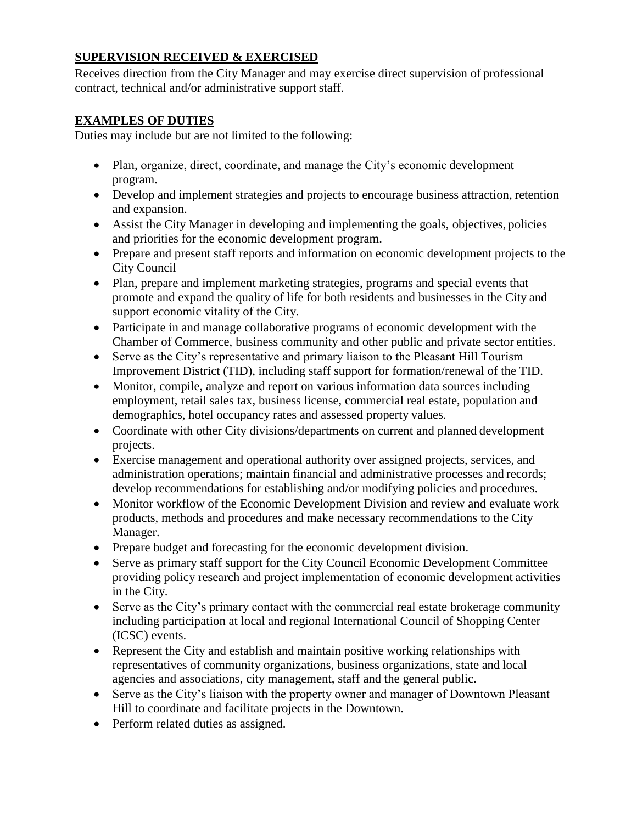# **SUPERVISION RECEIVED & EXERCISED**

Receives direction from the City Manager and may exercise direct supervision of professional contract, technical and/or administrative support staff.

## **EXAMPLES OF DUTIES**

Duties may include but are not limited to the following:

- Plan, organize, direct, coordinate, and manage the City's economic development program.
- Develop and implement strategies and projects to encourage business attraction, retention and expansion.
- Assist the City Manager in developing and implementing the goals, objectives, policies and priorities for the economic development program.
- Prepare and present staff reports and information on economic development projects to the City Council
- Plan, prepare and implement marketing strategies, programs and special events that promote and expand the quality of life for both residents and businesses in the City and support economic vitality of the City.
- Participate in and manage collaborative programs of economic development with the Chamber of Commerce, business community and other public and private sector entities.
- Serve as the City's representative and primary liaison to the Pleasant Hill Tourism Improvement District (TID), including staff support for formation/renewal of the TID.
- Monitor, compile, analyze and report on various information data sources including employment, retail sales tax, business license, commercial real estate, population and demographics, hotel occupancy rates and assessed property values.
- Coordinate with other City divisions/departments on current and planned development projects.
- Exercise management and operational authority over assigned projects, services, and administration operations; maintain financial and administrative processes and records; develop recommendations for establishing and/or modifying policies and procedures.
- Monitor workflow of the Economic Development Division and review and evaluate work products, methods and procedures and make necessary recommendations to the City Manager.
- Prepare budget and forecasting for the economic development division.
- Serve as primary staff support for the City Council Economic Development Committee providing policy research and project implementation of economic development activities in the City.
- Serve as the City's primary contact with the commercial real estate brokerage community including participation at local and regional International Council of Shopping Center (ICSC) events.
- Represent the City and establish and maintain positive working relationships with representatives of community organizations, business organizations, state and local agencies and associations, city management, staff and the general public.
- Serve as the City's liaison with the property owner and manager of Downtown Pleasant Hill to coordinate and facilitate projects in the Downtown.
- Perform related duties as assigned.